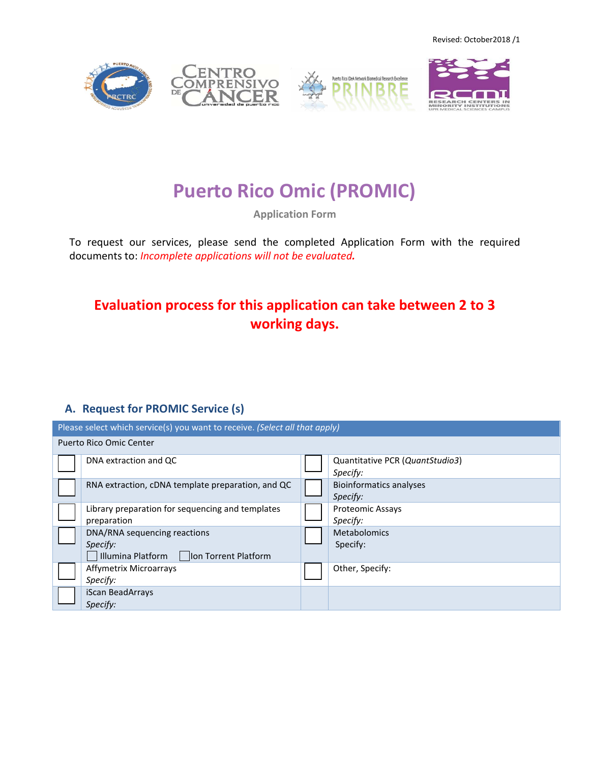Revised: October2018 /1









# **Puerto Rico Omic (PROMIC)**

**Application Form**

To request our services, please send the completed Application Form with the required documents to: *Incomplete applications will not be evaluated.* 

## **Evaluation process for this application can take between 2 to 3 working days.**

### **A. Request for PROMIC Service (s)**

| Please select which service(s) you want to receive. (Select all that apply) |                                                                                      |  |                                             |  |  |
|-----------------------------------------------------------------------------|--------------------------------------------------------------------------------------|--|---------------------------------------------|--|--|
| Puerto Rico Omic Center                                                     |                                                                                      |  |                                             |  |  |
|                                                                             | DNA extraction and QC                                                                |  | Quantitative PCR (QuantStudio3)<br>Specify: |  |  |
|                                                                             | RNA extraction, cDNA template preparation, and QC                                    |  | <b>Bioinformatics analyses</b><br>Specify:  |  |  |
|                                                                             | Library preparation for sequencing and templates<br>preparation                      |  | <b>Proteomic Assays</b><br>Specify:         |  |  |
|                                                                             | DNA/RNA sequencing reactions<br>Specify:<br>Illumina Platform   Ion Torrent Platform |  | <b>Metabolomics</b><br>Specify:             |  |  |
|                                                                             | Affymetrix Microarrays<br>Specify:                                                   |  | Other, Specify:                             |  |  |
|                                                                             | iScan BeadArrays<br>Specify:                                                         |  |                                             |  |  |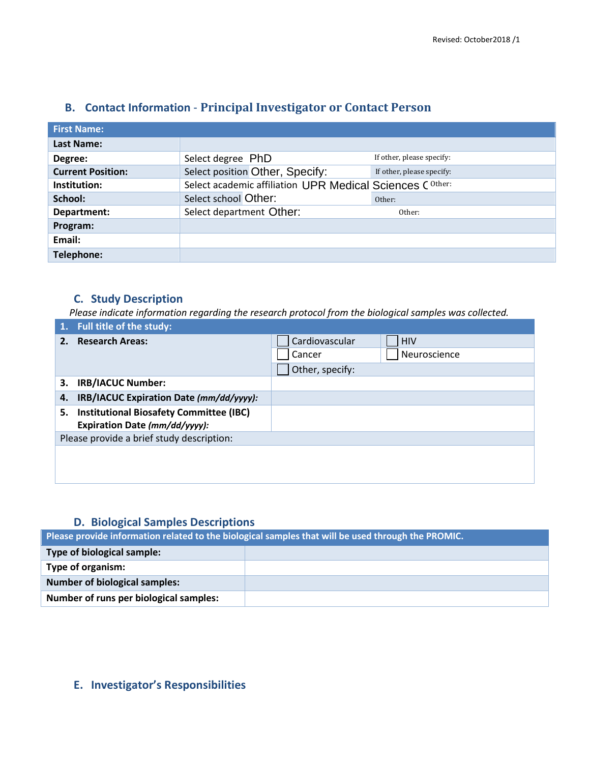| <b>First Name:</b>       |                                                           |                           |
|--------------------------|-----------------------------------------------------------|---------------------------|
| Last Name:               |                                                           |                           |
| Degree:                  | Select degree PhD                                         | If other, please specify: |
| <b>Current Position:</b> | Select position Other, Specify:                           | If other, please specify: |
| Institution:             | Select academic affiliation UPR Medical Sciences C Other: |                           |
| School:                  | Select school Other:                                      | Other:                    |
| Department:              | Select department Other:                                  | Other:                    |
| Program:                 |                                                           |                           |
| Email:                   |                                                           |                           |
| Telephone:               |                                                           |                           |

#### **B. Contact Information** - **Principal Investigator or Contact Person**

#### **C. Study Description**

*Please indicate information regarding the research protocol from the biological samples was collected.*

| 1. Full title of the study:                          |                              |  |  |  |
|------------------------------------------------------|------------------------------|--|--|--|
| 2. Research Areas:                                   | Cardiovascular<br><b>HIV</b> |  |  |  |
|                                                      | Neuroscience<br>Cancer       |  |  |  |
|                                                      | Other, specify:              |  |  |  |
| <b>IRB/IACUC Number:</b><br>3.                       |                              |  |  |  |
| IRB/IACUC Expiration Date (mm/dd/yyyy):<br>4.        |                              |  |  |  |
| <b>Institutional Biosafety Committee (IBC)</b><br>5. |                              |  |  |  |
| Expiration Date (mm/dd/yyyy):                        |                              |  |  |  |
| Please provide a brief study description:            |                              |  |  |  |
|                                                      |                              |  |  |  |
|                                                      |                              |  |  |  |
|                                                      |                              |  |  |  |

#### **D. Biological Samples Descriptions**

**Please provide information related to the biological samples that will be used through the PROMIC.**

| Type of biological sample:             |  |
|----------------------------------------|--|
| Type of organism:                      |  |
| <b>Number of biological samples:</b>   |  |
| Number of runs per biological samples: |  |

#### **E. Investigator's Responsibilities**